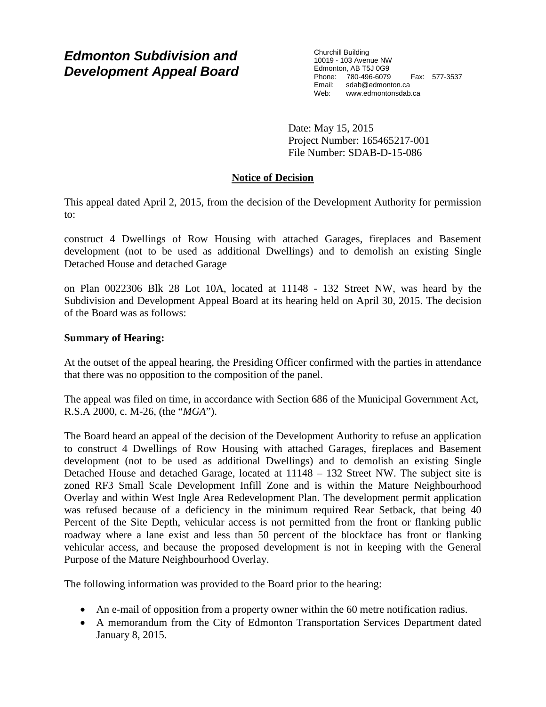# *Edmonton Subdivision and Development Appeal Board*

Churchill Building 10019 - 103 Avenue NW Edmonton, AB T5J 0G9 Phone: 780-496-6079 Fax: 577-3537 Email: sdab@edmonton.ca<br>Web: www.edmontonsdab. www.edmontonsdab.ca

Date: May 15, 2015 Project Number: 165465217-001 File Number: SDAB-D-15-086

## **Notice of Decision**

This appeal dated April 2, 2015, from the decision of the Development Authority for permission to:

construct 4 Dwellings of Row Housing with attached Garages, fireplaces and Basement development (not to be used as additional Dwellings) and to demolish an existing Single Detached House and detached Garage

on Plan 0022306 Blk 28 Lot 10A, located at 11148 - 132 Street NW, was heard by the Subdivision and Development Appeal Board at its hearing held on April 30, 2015. The decision of the Board was as follows:

## **Summary of Hearing:**

At the outset of the appeal hearing, the Presiding Officer confirmed with the parties in attendance that there was no opposition to the composition of the panel.

The appeal was filed on time, in accordance with Section 686 of the Municipal Government Act, R.S.A 2000, c. M-26, (the "*MGA*").

The Board heard an appeal of the decision of the Development Authority to refuse an application to construct 4 Dwellings of Row Housing with attached Garages, fireplaces and Basement development (not to be used as additional Dwellings) and to demolish an existing Single Detached House and detached Garage, located at 11148 – 132 Street NW. The subject site is zoned RF3 Small Scale Development Infill Zone and is within the Mature Neighbourhood Overlay and within West Ingle Area Redevelopment Plan. The development permit application was refused because of a deficiency in the minimum required Rear Setback, that being 40 Percent of the Site Depth, vehicular access is not permitted from the front or flanking public roadway where a lane exist and less than 50 percent of the blockface has front or flanking vehicular access, and because the proposed development is not in keeping with the General Purpose of the Mature Neighbourhood Overlay.

The following information was provided to the Board prior to the hearing:

- An e-mail of opposition from a property owner within the 60 metre notification radius.
- A memorandum from the City of Edmonton Transportation Services Department dated January 8, 2015.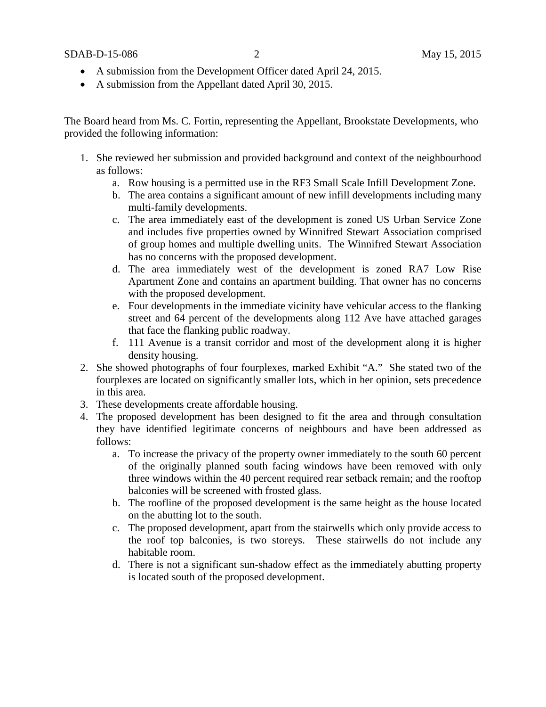- A submission from the Development Officer dated April 24, 2015.
- A submission from the Appellant dated April 30, 2015.

The Board heard from Ms. C. Fortin, representing the Appellant, Brookstate Developments, who provided the following information:

- 1. She reviewed her submission and provided background and context of the neighbourhood as follows:
	- a. Row housing is a permitted use in the RF3 Small Scale Infill Development Zone.
	- b. The area contains a significant amount of new infill developments including many multi-family developments.
	- c. The area immediately east of the development is zoned US Urban Service Zone and includes five properties owned by Winnifred Stewart Association comprised of group homes and multiple dwelling units. The Winnifred Stewart Association has no concerns with the proposed development.
	- d. The area immediately west of the development is zoned RA7 Low Rise Apartment Zone and contains an apartment building. That owner has no concerns with the proposed development.
	- e. Four developments in the immediate vicinity have vehicular access to the flanking street and 64 percent of the developments along 112 Ave have attached garages that face the flanking public roadway.
	- f. 111 Avenue is a transit corridor and most of the development along it is higher density housing.
- 2. She showed photographs of four fourplexes, marked Exhibit "A." She stated two of the fourplexes are located on significantly smaller lots, which in her opinion, sets precedence in this area.
- 3. These developments create affordable housing.
- 4. The proposed development has been designed to fit the area and through consultation they have identified legitimate concerns of neighbours and have been addressed as follows:
	- a. To increase the privacy of the property owner immediately to the south 60 percent of the originally planned south facing windows have been removed with only three windows within the 40 percent required rear setback remain; and the rooftop balconies will be screened with frosted glass.
	- b. The roofline of the proposed development is the same height as the house located on the abutting lot to the south.
	- c. The proposed development, apart from the stairwells which only provide access to the roof top balconies, is two storeys. These stairwells do not include any habitable room.
	- d. There is not a significant sun-shadow effect as the immediately abutting property is located south of the proposed development.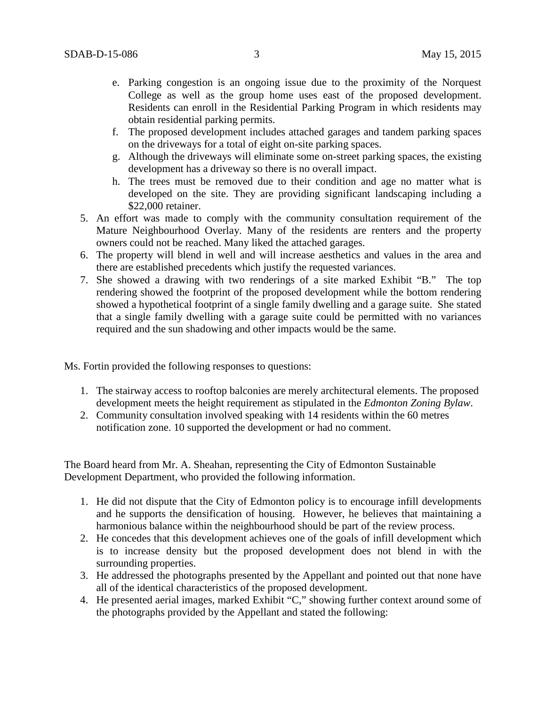- e. Parking congestion is an ongoing issue due to the proximity of the Norquest College as well as the group home uses east of the proposed development. Residents can enroll in the Residential Parking Program in which residents may obtain residential parking permits.
- f. The proposed development includes attached garages and tandem parking spaces on the driveways for a total of eight on-site parking spaces.
- g. Although the driveways will eliminate some on-street parking spaces, the existing development has a driveway so there is no overall impact.
- h. The trees must be removed due to their condition and age no matter what is developed on the site. They are providing significant landscaping including a \$22,000 retainer.
- 5. An effort was made to comply with the community consultation requirement of the Mature Neighbourhood Overlay. Many of the residents are renters and the property owners could not be reached. Many liked the attached garages.
- 6. The property will blend in well and will increase aesthetics and values in the area and there are established precedents which justify the requested variances.
- 7. She showed a drawing with two renderings of a site marked Exhibit "B." The top rendering showed the footprint of the proposed development while the bottom rendering showed a hypothetical footprint of a single family dwelling and a garage suite. She stated that a single family dwelling with a garage suite could be permitted with no variances required and the sun shadowing and other impacts would be the same.

Ms. Fortin provided the following responses to questions:

- 1. The stairway access to rooftop balconies are merely architectural elements. The proposed development meets the height requirement as stipulated in the *Edmonton Zoning Bylaw*.
- 2. Community consultation involved speaking with 14 residents within the 60 metres notification zone. 10 supported the development or had no comment.

The Board heard from Mr. A. Sheahan, representing the City of Edmonton Sustainable Development Department, who provided the following information.

- 1. He did not dispute that the City of Edmonton policy is to encourage infill developments and he supports the densification of housing. However, he believes that maintaining a harmonious balance within the neighbourhood should be part of the review process.
- 2. He concedes that this development achieves one of the goals of infill development which is to increase density but the proposed development does not blend in with the surrounding properties.
- 3. He addressed the photographs presented by the Appellant and pointed out that none have all of the identical characteristics of the proposed development.
- 4. He presented aerial images, marked Exhibit "C," showing further context around some of the photographs provided by the Appellant and stated the following: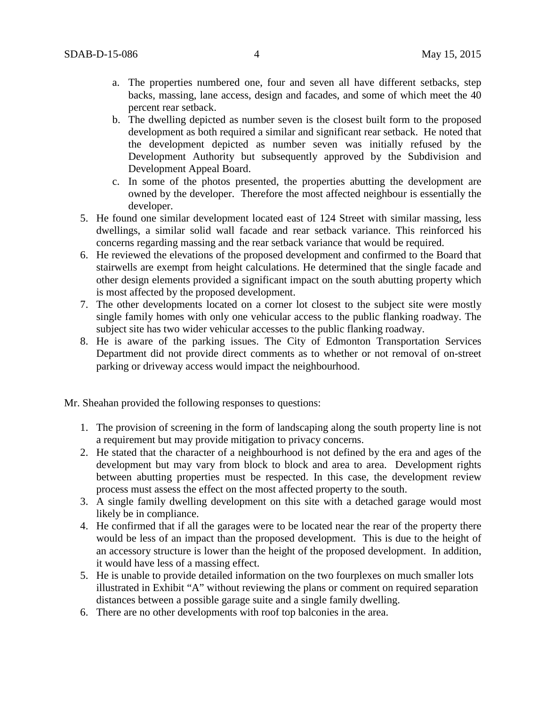- a. The properties numbered one, four and seven all have different setbacks, step backs, massing, lane access, design and facades, and some of which meet the 40 percent rear setback.
- b. The dwelling depicted as number seven is the closest built form to the proposed development as both required a similar and significant rear setback. He noted that the development depicted as number seven was initially refused by the Development Authority but subsequently approved by the Subdivision and Development Appeal Board.
- c. In some of the photos presented, the properties abutting the development are owned by the developer. Therefore the most affected neighbour is essentially the developer.
- 5. He found one similar development located east of 124 Street with similar massing, less dwellings, a similar solid wall facade and rear setback variance. This reinforced his concerns regarding massing and the rear setback variance that would be required.
- 6. He reviewed the elevations of the proposed development and confirmed to the Board that stairwells are exempt from height calculations. He determined that the single facade and other design elements provided a significant impact on the south abutting property which is most affected by the proposed development.
- 7. The other developments located on a corner lot closest to the subject site were mostly single family homes with only one vehicular access to the public flanking roadway. The subject site has two wider vehicular accesses to the public flanking roadway.
- 8. He is aware of the parking issues. The City of Edmonton Transportation Services Department did not provide direct comments as to whether or not removal of on-street parking or driveway access would impact the neighbourhood.

Mr. Sheahan provided the following responses to questions:

- 1. The provision of screening in the form of landscaping along the south property line is not a requirement but may provide mitigation to privacy concerns.
- 2. He stated that the character of a neighbourhood is not defined by the era and ages of the development but may vary from block to block and area to area. Development rights between abutting properties must be respected. In this case, the development review process must assess the effect on the most affected property to the south.
- 3. A single family dwelling development on this site with a detached garage would most likely be in compliance.
- 4. He confirmed that if all the garages were to be located near the rear of the property there would be less of an impact than the proposed development. This is due to the height of an accessory structure is lower than the height of the proposed development. In addition, it would have less of a massing effect.
- 5. He is unable to provide detailed information on the two fourplexes on much smaller lots illustrated in Exhibit "A" without reviewing the plans or comment on required separation distances between a possible garage suite and a single family dwelling.
- 6. There are no other developments with roof top balconies in the area.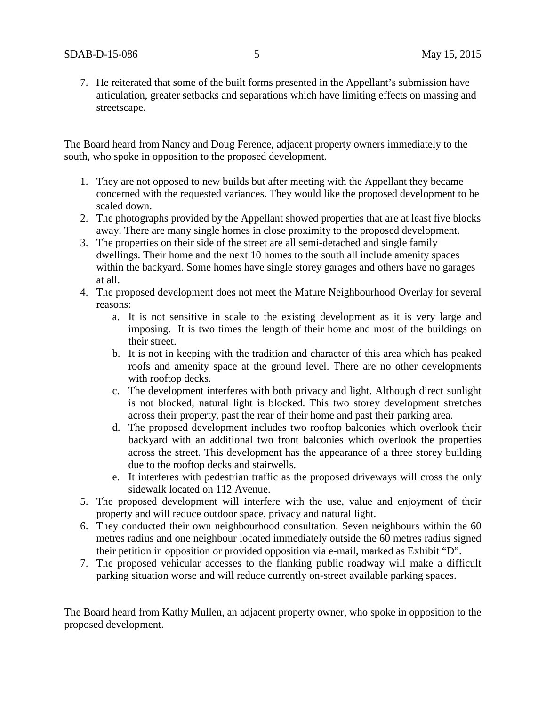7. He reiterated that some of the built forms presented in the Appellant's submission have articulation, greater setbacks and separations which have limiting effects on massing and streetscape.

The Board heard from Nancy and Doug Ference, adjacent property owners immediately to the south, who spoke in opposition to the proposed development.

- 1. They are not opposed to new builds but after meeting with the Appellant they became concerned with the requested variances. They would like the proposed development to be scaled down.
- 2. The photographs provided by the Appellant showed properties that are at least five blocks away. There are many single homes in close proximity to the proposed development.
- 3. The properties on their side of the street are all semi-detached and single family dwellings. Their home and the next 10 homes to the south all include amenity spaces within the backyard. Some homes have single storey garages and others have no garages at all.
- 4. The proposed development does not meet the Mature Neighbourhood Overlay for several reasons:
	- a. It is not sensitive in scale to the existing development as it is very large and imposing. It is two times the length of their home and most of the buildings on their street.
	- b. It is not in keeping with the tradition and character of this area which has peaked roofs and amenity space at the ground level. There are no other developments with rooftop decks.
	- c. The development interferes with both privacy and light. Although direct sunlight is not blocked, natural light is blocked. This two storey development stretches across their property, past the rear of their home and past their parking area.
	- d. The proposed development includes two rooftop balconies which overlook their backyard with an additional two front balconies which overlook the properties across the street. This development has the appearance of a three storey building due to the rooftop decks and stairwells.
	- e. It interferes with pedestrian traffic as the proposed driveways will cross the only sidewalk located on 112 Avenue.
- 5. The proposed development will interfere with the use, value and enjoyment of their property and will reduce outdoor space, privacy and natural light.
- 6. They conducted their own neighbourhood consultation. Seven neighbours within the 60 metres radius and one neighbour located immediately outside the 60 metres radius signed their petition in opposition or provided opposition via e-mail, marked as Exhibit "D".
- 7. The proposed vehicular accesses to the flanking public roadway will make a difficult parking situation worse and will reduce currently on-street available parking spaces.

The Board heard from Kathy Mullen, an adjacent property owner, who spoke in opposition to the proposed development.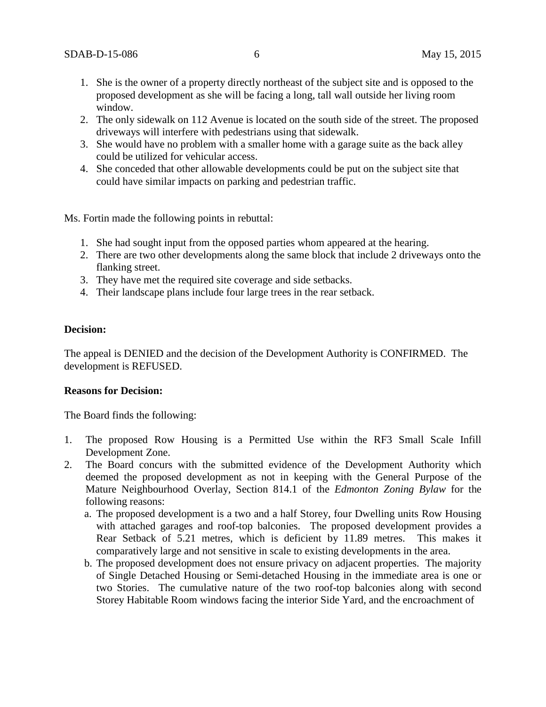- 1. She is the owner of a property directly northeast of the subject site and is opposed to the proposed development as she will be facing a long, tall wall outside her living room window.
- 2. The only sidewalk on 112 Avenue is located on the south side of the street. The proposed driveways will interfere with pedestrians using that sidewalk.
- 3. She would have no problem with a smaller home with a garage suite as the back alley could be utilized for vehicular access.
- 4. She conceded that other allowable developments could be put on the subject site that could have similar impacts on parking and pedestrian traffic.

Ms. Fortin made the following points in rebuttal:

- 1. She had sought input from the opposed parties whom appeared at the hearing.
- 2. There are two other developments along the same block that include 2 driveways onto the flanking street.
- 3. They have met the required site coverage and side setbacks.
- 4. Their landscape plans include four large trees in the rear setback.

## **Decision:**

The appeal is DENIED and the decision of the Development Authority is CONFIRMED. The development is REFUSED.

#### **Reasons for Decision:**

The Board finds the following:

- 1. The proposed Row Housing is a Permitted Use within the RF3 Small Scale Infill Development Zone.
- 2. The Board concurs with the submitted evidence of the Development Authority which deemed the proposed development as not in keeping with the General Purpose of the Mature Neighbourhood Overlay, Section 814.1 of the *Edmonton Zoning Bylaw* for the following reasons:
	- a. The proposed development is a two and a half Storey, four Dwelling units Row Housing with attached garages and roof-top balconies. The proposed development provides a Rear Setback of 5.21 metres, which is deficient by 11.89 metres. This makes it comparatively large and not sensitive in scale to existing developments in the area.
	- b. The proposed development does not ensure privacy on adjacent properties. The majority of Single Detached Housing or Semi-detached Housing in the immediate area is one or two Stories. The cumulative nature of the two roof-top balconies along with second Storey Habitable Room windows facing the interior Side Yard, and the encroachment of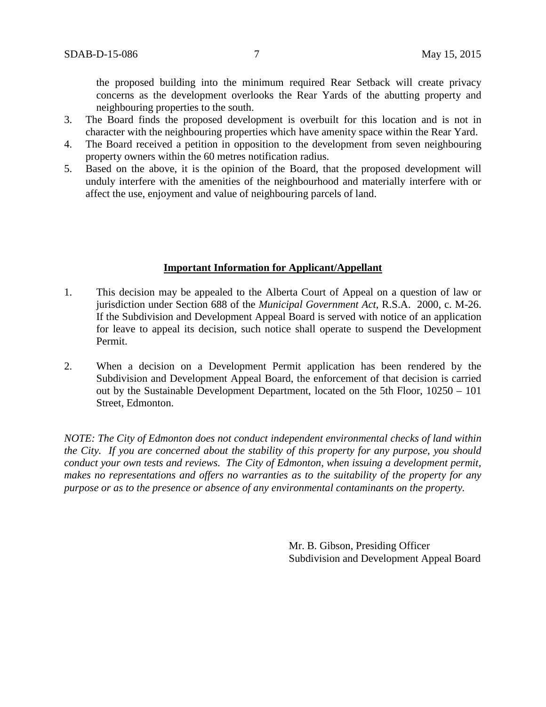the proposed building into the minimum required Rear Setback will create privacy concerns as the development overlooks the Rear Yards of the abutting property and neighbouring properties to the south.

- 3. The Board finds the proposed development is overbuilt for this location and is not in character with the neighbouring properties which have amenity space within the Rear Yard.
- 4. The Board received a petition in opposition to the development from seven neighbouring property owners within the 60 metres notification radius.
- 5. Based on the above, it is the opinion of the Board, that the proposed development will unduly interfere with the amenities of the neighbourhood and materially interfere with or affect the use, enjoyment and value of neighbouring parcels of land.

### **Important Information for Applicant/Appellant**

- 1. This decision may be appealed to the Alberta Court of Appeal on a question of law or jurisdiction under Section 688 of the *Municipal Government Act*, R.S.A. 2000, c. M-26. If the Subdivision and Development Appeal Board is served with notice of an application for leave to appeal its decision, such notice shall operate to suspend the Development Permit.
- 2. When a decision on a Development Permit application has been rendered by the Subdivision and Development Appeal Board, the enforcement of that decision is carried out by the Sustainable Development Department, located on the 5th Floor, 10250 – 101 Street, Edmonton.

*NOTE: The City of Edmonton does not conduct independent environmental checks of land within the City. If you are concerned about the stability of this property for any purpose, you should conduct your own tests and reviews. The City of Edmonton, when issuing a development permit, makes no representations and offers no warranties as to the suitability of the property for any purpose or as to the presence or absence of any environmental contaminants on the property.*

> Mr. B. Gibson, Presiding Officer Subdivision and Development Appeal Board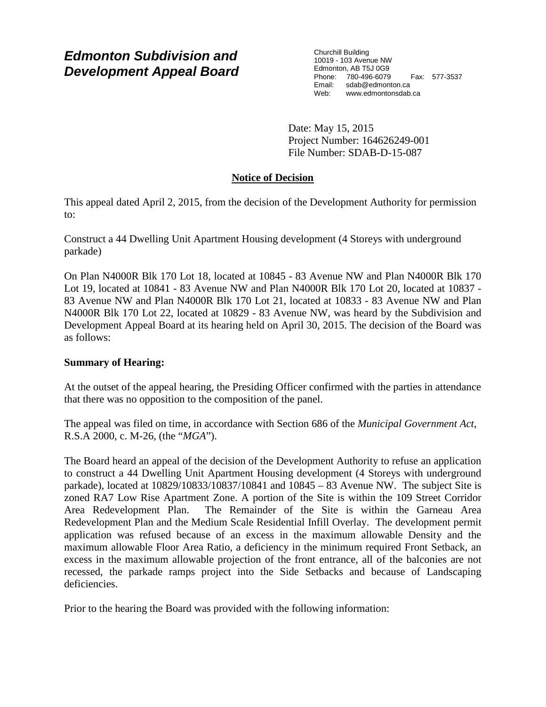# *Edmonton Subdivision and Development Appeal Board*

Churchill Building 10019 - 103 Avenue NW Edmonton, AB T5J 0G9 Phone: 780-496-6079 Fax: 577-3537 Email: sdab@edmonton.ca<br>Web: www.edmontonsdab. www.edmontonsdab.ca

Date: May 15, 2015 Project Number: 164626249-001 File Number: SDAB-D-15-087

# **Notice of Decision**

This appeal dated April 2, 2015, from the decision of the Development Authority for permission to:

Construct a 44 Dwelling Unit Apartment Housing development (4 Storeys with underground parkade)

On Plan N4000R Blk 170 Lot 18, located at 10845 - 83 Avenue NW and Plan N4000R Blk 170 Lot 19, located at 10841 - 83 Avenue NW and Plan N4000R Blk 170 Lot 20, located at 10837 - 83 Avenue NW and Plan N4000R Blk 170 Lot 21, located at 10833 - 83 Avenue NW and Plan N4000R Blk 170 Lot 22, located at 10829 - 83 Avenue NW, was heard by the Subdivision and Development Appeal Board at its hearing held on April 30, 2015. The decision of the Board was as follows:

# **Summary of Hearing:**

At the outset of the appeal hearing, the Presiding Officer confirmed with the parties in attendance that there was no opposition to the composition of the panel.

The appeal was filed on time, in accordance with Section 686 of the *Municipal Government Act*, R.S.A 2000, c. M-26, (the "*MGA*").

The Board heard an appeal of the decision of the Development Authority to refuse an application to construct a 44 Dwelling Unit Apartment Housing development (4 Storeys with underground parkade), located at 10829/10833/10837/10841 and 10845 – 83 Avenue NW. The subject Site is zoned RA7 Low Rise Apartment Zone. A portion of the Site is within the 109 Street Corridor Area Redevelopment Plan. The Remainder of the Site is within the Garneau Area Redevelopment Plan and the Medium Scale Residential Infill Overlay. The development permit application was refused because of an excess in the maximum allowable Density and the maximum allowable Floor Area Ratio, a deficiency in the minimum required Front Setback, an excess in the maximum allowable projection of the front entrance, all of the balconies are not recessed, the parkade ramps project into the Side Setbacks and because of Landscaping deficiencies.

Prior to the hearing the Board was provided with the following information: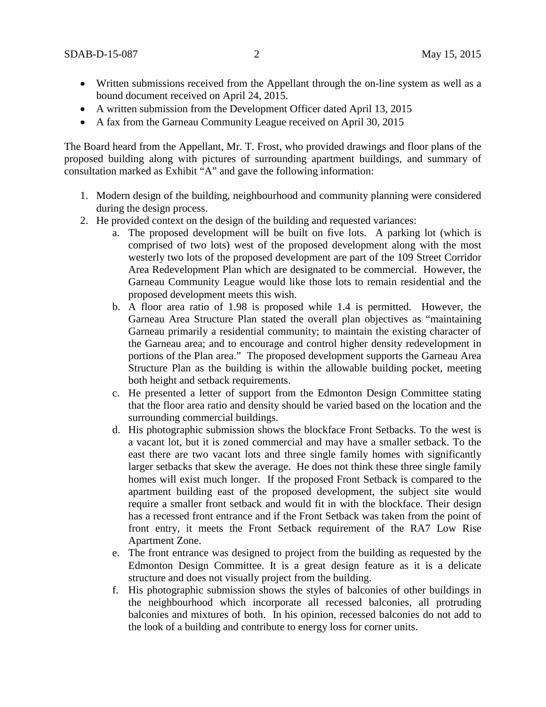- Written submissions received from the Appellant through the on-line system as well as a bound document received on April 24, 2015.
- A written submission from the Development Officer dated April 13, 2015
- A fax from the Garneau Community League received on April 30, 2015

The Board heard from the Appellant, Mr. T. Frost, who provided drawings and floor plans of the proposed building along with pictures of surrounding apartment buildings, and summary of consultation marked as Exhibit "A" and gave the following information:

- 1. Modern design of the building, neighbourhood and community planning were considered during the design process.
- 2. He provided context on the design of the building and requested variances:
	- a. The proposed development will be built on five lots. A parking lot (which is comprised of two lots) west of the proposed development along with the most westerly two lots of the proposed development are part of the 109 Street Corridor Area Redevelopment Plan which are designated to be commercial. However, the Garneau Community League would like those lots to remain residential and the proposed development meets this wish.
	- b. A floor area ratio of 1.98 is proposed while 1.4 is permitted. However, the Garneau Area Structure Plan stated the overall plan objectives as "maintaining Garneau primarily a residential community; to maintain the existing character of the Garneau area; and to encourage and control higher density redevelopment in portions of the Plan area." The proposed development supports the Garneau Area Structure Plan as the building is within the allowable building pocket, meeting both height and setback requirements.
	- c. He presented a letter of support from the Edmonton Design Committee stating that the floor area ratio and density should be varied based on the location and the surrounding commercial buildings.
	- d. His photographic submission shows the blockface Front Setbacks. To the west is a vacant lot, but it is zoned commercial and may have a smaller setback. To the east there are two vacant lots and three single family homes with significantly larger setbacks that skew the average. He does not think these three single family homes will exist much longer. If the proposed Front Setback is compared to the apartment building east of the proposed development, the subject site would require a smaller front setback and would fit in with the blockface. Their design has a recessed front entrance and if the Front Setback was taken from the point of front entry, it meets the Front Setback requirement of the RA7 Low Rise Apartment Zone.
	- e. The front entrance was designed to project from the building as requested by the Edmonton Design Committee. It is a great design feature as it is a delicate structure and does not visually project from the building.
	- f. His photographic submission shows the styles of balconies of other buildings in the neighbourhood which incorporate all recessed balconies, all protruding balconies and mixtures of both. In his opinion, recessed balconies do not add to the look of a building and contribute to energy loss for corner units.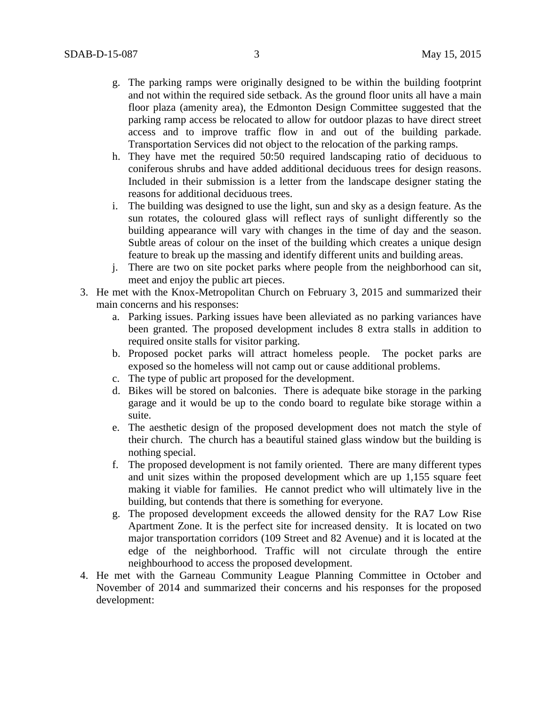- g. The parking ramps were originally designed to be within the building footprint and not within the required side setback. As the ground floor units all have a main floor plaza (amenity area), the Edmonton Design Committee suggested that the parking ramp access be relocated to allow for outdoor plazas to have direct street access and to improve traffic flow in and out of the building parkade. Transportation Services did not object to the relocation of the parking ramps.
- h. They have met the required 50:50 required landscaping ratio of deciduous to coniferous shrubs and have added additional deciduous trees for design reasons. Included in their submission is a letter from the landscape designer stating the reasons for additional deciduous trees.
- i. The building was designed to use the light, sun and sky as a design feature. As the sun rotates, the coloured glass will reflect rays of sunlight differently so the building appearance will vary with changes in the time of day and the season. Subtle areas of colour on the inset of the building which creates a unique design feature to break up the massing and identify different units and building areas.
- j. There are two on site pocket parks where people from the neighborhood can sit, meet and enjoy the public art pieces.
- 3. He met with the Knox-Metropolitan Church on February 3, 2015 and summarized their main concerns and his responses:
	- a. Parking issues. Parking issues have been alleviated as no parking variances have been granted. The proposed development includes 8 extra stalls in addition to required onsite stalls for visitor parking.
	- b. Proposed pocket parks will attract homeless people. The pocket parks are exposed so the homeless will not camp out or cause additional problems.
	- c. The type of public art proposed for the development.
	- d. Bikes will be stored on balconies. There is adequate bike storage in the parking garage and it would be up to the condo board to regulate bike storage within a suite.
	- e. The aesthetic design of the proposed development does not match the style of their church. The church has a beautiful stained glass window but the building is nothing special.
	- f. The proposed development is not family oriented. There are many different types and unit sizes within the proposed development which are up 1,155 square feet making it viable for families. He cannot predict who will ultimately live in the building, but contends that there is something for everyone.
	- g. The proposed development exceeds the allowed density for the RA7 Low Rise Apartment Zone. It is the perfect site for increased density. It is located on two major transportation corridors (109 Street and 82 Avenue) and it is located at the edge of the neighborhood. Traffic will not circulate through the entire neighbourhood to access the proposed development.
- 4. He met with the Garneau Community League Planning Committee in October and November of 2014 and summarized their concerns and his responses for the proposed development: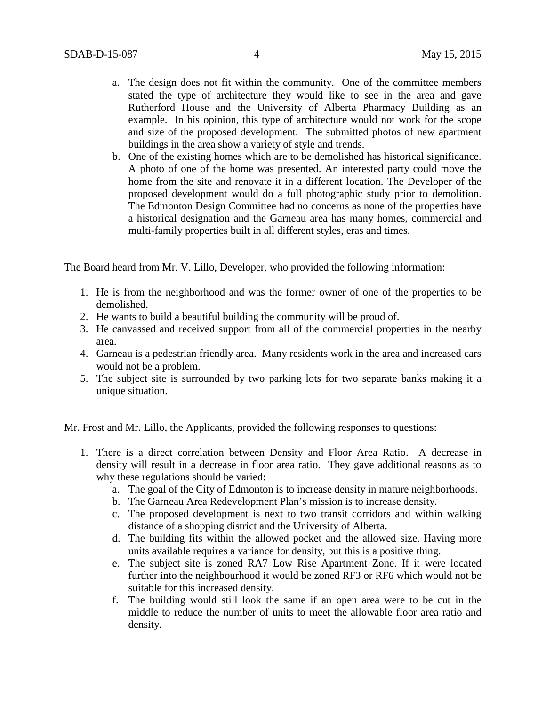- a. The design does not fit within the community. One of the committee members stated the type of architecture they would like to see in the area and gave Rutherford House and the University of Alberta Pharmacy Building as an example. In his opinion, this type of architecture would not work for the scope and size of the proposed development. The submitted photos of new apartment buildings in the area show a variety of style and trends.
- b. One of the existing homes which are to be demolished has historical significance. A photo of one of the home was presented. An interested party could move the home from the site and renovate it in a different location. The Developer of the proposed development would do a full photographic study prior to demolition. The Edmonton Design Committee had no concerns as none of the properties have a historical designation and the Garneau area has many homes, commercial and multi-family properties built in all different styles, eras and times.

The Board heard from Mr. V. Lillo, Developer, who provided the following information:

- 1. He is from the neighborhood and was the former owner of one of the properties to be demolished.
- 2. He wants to build a beautiful building the community will be proud of.
- 3. He canvassed and received support from all of the commercial properties in the nearby area.
- 4. Garneau is a pedestrian friendly area. Many residents work in the area and increased cars would not be a problem.
- 5. The subject site is surrounded by two parking lots for two separate banks making it a unique situation.

Mr. Frost and Mr. Lillo, the Applicants, provided the following responses to questions:

- 1. There is a direct correlation between Density and Floor Area Ratio. A decrease in density will result in a decrease in floor area ratio. They gave additional reasons as to why these regulations should be varied:
	- a. The goal of the City of Edmonton is to increase density in mature neighborhoods.
	- b. The Garneau Area Redevelopment Plan's mission is to increase density.
	- c. The proposed development is next to two transit corridors and within walking distance of a shopping district and the University of Alberta.
	- d. The building fits within the allowed pocket and the allowed size. Having more units available requires a variance for density, but this is a positive thing.
	- e. The subject site is zoned RA7 Low Rise Apartment Zone. If it were located further into the neighbourhood it would be zoned RF3 or RF6 which would not be suitable for this increased density.
	- f. The building would still look the same if an open area were to be cut in the middle to reduce the number of units to meet the allowable floor area ratio and density.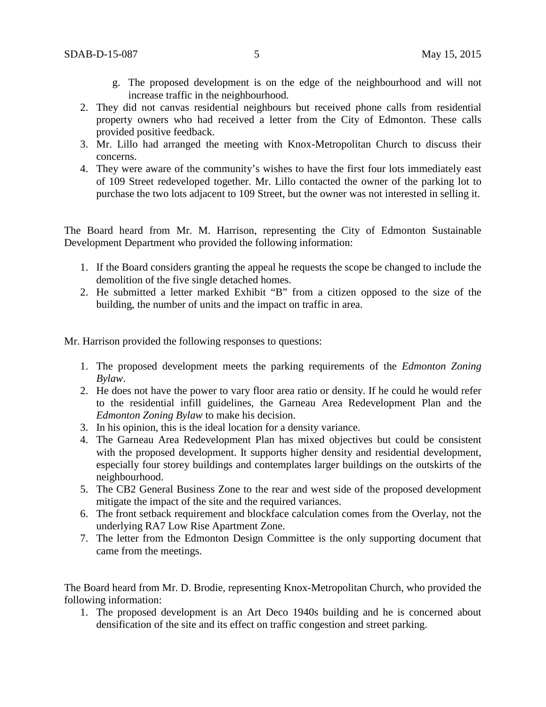- g. The proposed development is on the edge of the neighbourhood and will not increase traffic in the neighbourhood.
- 2. They did not canvas residential neighbours but received phone calls from residential property owners who had received a letter from the City of Edmonton. These calls provided positive feedback.
- 3. Mr. Lillo had arranged the meeting with Knox-Metropolitan Church to discuss their concerns.
- 4. They were aware of the community's wishes to have the first four lots immediately east of 109 Street redeveloped together. Mr. Lillo contacted the owner of the parking lot to purchase the two lots adjacent to 109 Street, but the owner was not interested in selling it.

The Board heard from Mr. M. Harrison, representing the City of Edmonton Sustainable Development Department who provided the following information:

- 1. If the Board considers granting the appeal he requests the scope be changed to include the demolition of the five single detached homes.
- 2. He submitted a letter marked Exhibit "B" from a citizen opposed to the size of the building, the number of units and the impact on traffic in area.

Mr. Harrison provided the following responses to questions:

- 1. The proposed development meets the parking requirements of the *Edmonton Zoning Bylaw*.
- 2. He does not have the power to vary floor area ratio or density. If he could he would refer to the residential infill guidelines, the Garneau Area Redevelopment Plan and the *Edmonton Zoning Bylaw* to make his decision.
- 3. In his opinion, this is the ideal location for a density variance.
- 4. The Garneau Area Redevelopment Plan has mixed objectives but could be consistent with the proposed development. It supports higher density and residential development, especially four storey buildings and contemplates larger buildings on the outskirts of the neighbourhood.
- 5. The CB2 General Business Zone to the rear and west side of the proposed development mitigate the impact of the site and the required variances.
- 6. The front setback requirement and blockface calculation comes from the Overlay, not the underlying RA7 Low Rise Apartment Zone.
- 7. The letter from the Edmonton Design Committee is the only supporting document that came from the meetings.

The Board heard from Mr. D. Brodie, representing Knox-Metropolitan Church, who provided the following information:

1. The proposed development is an Art Deco 1940s building and he is concerned about densification of the site and its effect on traffic congestion and street parking.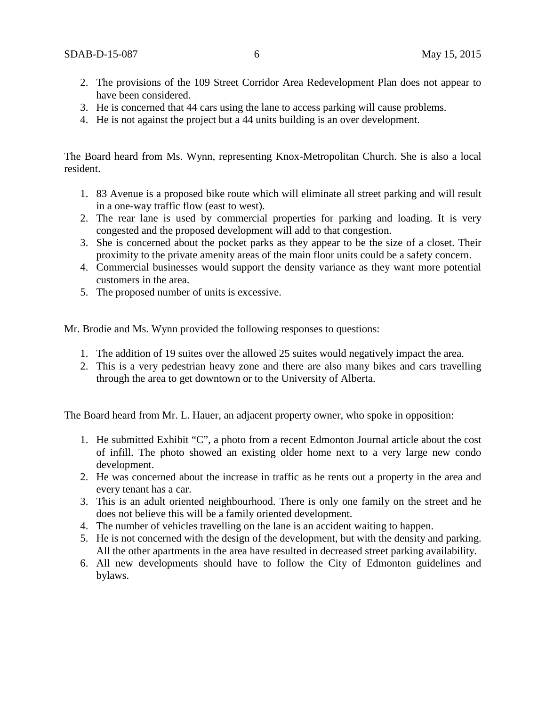- 2. The provisions of the 109 Street Corridor Area Redevelopment Plan does not appear to have been considered.
- 3. He is concerned that 44 cars using the lane to access parking will cause problems.
- 4. He is not against the project but a 44 units building is an over development.

The Board heard from Ms. Wynn, representing Knox-Metropolitan Church. She is also a local resident.

- 1. 83 Avenue is a proposed bike route which will eliminate all street parking and will result in a one-way traffic flow (east to west).
- 2. The rear lane is used by commercial properties for parking and loading. It is very congested and the proposed development will add to that congestion.
- 3. She is concerned about the pocket parks as they appear to be the size of a closet. Their proximity to the private amenity areas of the main floor units could be a safety concern.
- 4. Commercial businesses would support the density variance as they want more potential customers in the area.
- 5. The proposed number of units is excessive.

Mr. Brodie and Ms. Wynn provided the following responses to questions:

- 1. The addition of 19 suites over the allowed 25 suites would negatively impact the area.
- 2. This is a very pedestrian heavy zone and there are also many bikes and cars travelling through the area to get downtown or to the University of Alberta.

The Board heard from Mr. L. Hauer, an adjacent property owner, who spoke in opposition:

- 1. He submitted Exhibit "C", a photo from a recent Edmonton Journal article about the cost of infill. The photo showed an existing older home next to a very large new condo development.
- 2. He was concerned about the increase in traffic as he rents out a property in the area and every tenant has a car.
- 3. This is an adult oriented neighbourhood. There is only one family on the street and he does not believe this will be a family oriented development.
- 4. The number of vehicles travelling on the lane is an accident waiting to happen.
- 5. He is not concerned with the design of the development, but with the density and parking. All the other apartments in the area have resulted in decreased street parking availability.
- 6. All new developments should have to follow the City of Edmonton guidelines and bylaws.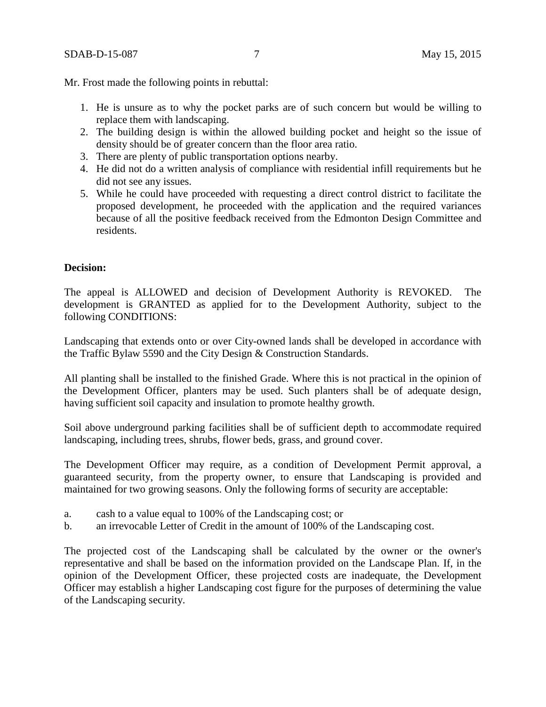Mr. Frost made the following points in rebuttal:

- 1. He is unsure as to why the pocket parks are of such concern but would be willing to replace them with landscaping.
- 2. The building design is within the allowed building pocket and height so the issue of density should be of greater concern than the floor area ratio.
- 3. There are plenty of public transportation options nearby.
- 4. He did not do a written analysis of compliance with residential infill requirements but he did not see any issues.
- 5. While he could have proceeded with requesting a direct control district to facilitate the proposed development, he proceeded with the application and the required variances because of all the positive feedback received from the Edmonton Design Committee and residents.

### **Decision:**

The appeal is ALLOWED and decision of Development Authority is REVOKED. The development is GRANTED as applied for to the Development Authority, subject to the following CONDITIONS:

Landscaping that extends onto or over City-owned lands shall be developed in accordance with the Traffic Bylaw 5590 and the City Design & Construction Standards.

All planting shall be installed to the finished Grade. Where this is not practical in the opinion of the Development Officer, planters may be used. Such planters shall be of adequate design, having sufficient soil capacity and insulation to promote healthy growth.

Soil above underground parking facilities shall be of sufficient depth to accommodate required landscaping, including trees, shrubs, flower beds, grass, and ground cover.

The Development Officer may require, as a condition of Development Permit approval, a guaranteed security, from the property owner, to ensure that Landscaping is provided and maintained for two growing seasons. Only the following forms of security are acceptable:

- a. cash to a value equal to 100% of the Landscaping cost; or
- b. an irrevocable Letter of Credit in the amount of 100% of the Landscaping cost.

The projected cost of the Landscaping shall be calculated by the owner or the owner's representative and shall be based on the information provided on the Landscape Plan. If, in the opinion of the Development Officer, these projected costs are inadequate, the Development Officer may establish a higher Landscaping cost figure for the purposes of determining the value of the Landscaping security.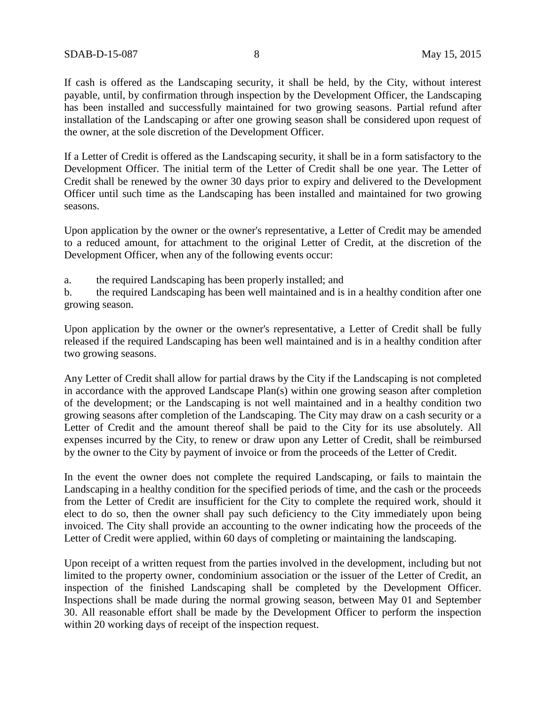If cash is offered as the Landscaping security, it shall be held, by the City, without interest payable, until, by confirmation through inspection by the Development Officer, the Landscaping has been installed and successfully maintained for two growing seasons. Partial refund after installation of the Landscaping or after one growing season shall be considered upon request of the owner, at the sole discretion of the Development Officer.

If a Letter of Credit is offered as the Landscaping security, it shall be in a form satisfactory to the Development Officer. The initial term of the Letter of Credit shall be one year. The Letter of Credit shall be renewed by the owner 30 days prior to expiry and delivered to the Development Officer until such time as the Landscaping has been installed and maintained for two growing seasons.

Upon application by the owner or the owner's representative, a Letter of Credit may be amended to a reduced amount, for attachment to the original Letter of Credit, at the discretion of the Development Officer, when any of the following events occur:

a. the required Landscaping has been properly installed; and

b. the required Landscaping has been well maintained and is in a healthy condition after one growing season.

Upon application by the owner or the owner's representative, a Letter of Credit shall be fully released if the required Landscaping has been well maintained and is in a healthy condition after two growing seasons.

Any Letter of Credit shall allow for partial draws by the City if the Landscaping is not completed in accordance with the approved Landscape Plan(s) within one growing season after completion of the development; or the Landscaping is not well maintained and in a healthy condition two growing seasons after completion of the Landscaping. The City may draw on a cash security or a Letter of Credit and the amount thereof shall be paid to the City for its use absolutely. All expenses incurred by the City, to renew or draw upon any Letter of Credit, shall be reimbursed by the owner to the City by payment of invoice or from the proceeds of the Letter of Credit.

In the event the owner does not complete the required Landscaping, or fails to maintain the Landscaping in a healthy condition for the specified periods of time, and the cash or the proceeds from the Letter of Credit are insufficient for the City to complete the required work, should it elect to do so, then the owner shall pay such deficiency to the City immediately upon being invoiced. The City shall provide an accounting to the owner indicating how the proceeds of the Letter of Credit were applied, within 60 days of completing or maintaining the landscaping.

Upon receipt of a written request from the parties involved in the development, including but not limited to the property owner, condominium association or the issuer of the Letter of Credit, an inspection of the finished Landscaping shall be completed by the Development Officer. Inspections shall be made during the normal growing season, between May 01 and September 30. All reasonable effort shall be made by the Development Officer to perform the inspection within 20 working days of receipt of the inspection request.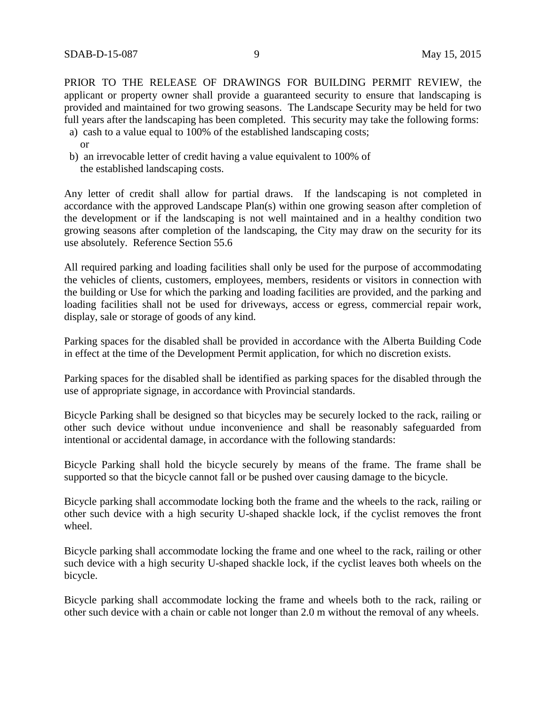PRIOR TO THE RELEASE OF DRAWINGS FOR BUILDING PERMIT REVIEW, the applicant or property owner shall provide a guaranteed security to ensure that landscaping is provided and maintained for two growing seasons. The Landscape Security may be held for two full years after the landscaping has been completed. This security may take the following forms:

- a) cash to a value equal to 100% of the established landscaping costs; or
- b) an irrevocable letter of credit having a value equivalent to 100% of the established landscaping costs.

Any letter of credit shall allow for partial draws. If the landscaping is not completed in accordance with the approved Landscape Plan(s) within one growing season after completion of the development or if the landscaping is not well maintained and in a healthy condition two growing seasons after completion of the landscaping, the City may draw on the security for its use absolutely. Reference Section 55.6

All required parking and loading facilities shall only be used for the purpose of accommodating the vehicles of clients, customers, employees, members, residents or visitors in connection with the building or Use for which the parking and loading facilities are provided, and the parking and loading facilities shall not be used for driveways, access or egress, commercial repair work, display, sale or storage of goods of any kind.

Parking spaces for the disabled shall be provided in accordance with the Alberta Building Code in effect at the time of the Development Permit application, for which no discretion exists.

Parking spaces for the disabled shall be identified as parking spaces for the disabled through the use of appropriate signage, in accordance with Provincial standards.

Bicycle Parking shall be designed so that bicycles may be securely locked to the rack, railing or other such device without undue inconvenience and shall be reasonably safeguarded from intentional or accidental damage, in accordance with the following standards:

Bicycle Parking shall hold the bicycle securely by means of the frame. The frame shall be supported so that the bicycle cannot fall or be pushed over causing damage to the bicycle.

Bicycle parking shall accommodate locking both the frame and the wheels to the rack, railing or other such device with a high security U-shaped shackle lock, if the cyclist removes the front wheel.

Bicycle parking shall accommodate locking the frame and one wheel to the rack, railing or other such device with a high security U-shaped shackle lock, if the cyclist leaves both wheels on the bicycle.

Bicycle parking shall accommodate locking the frame and wheels both to the rack, railing or other such device with a chain or cable not longer than 2.0 m without the removal of any wheels.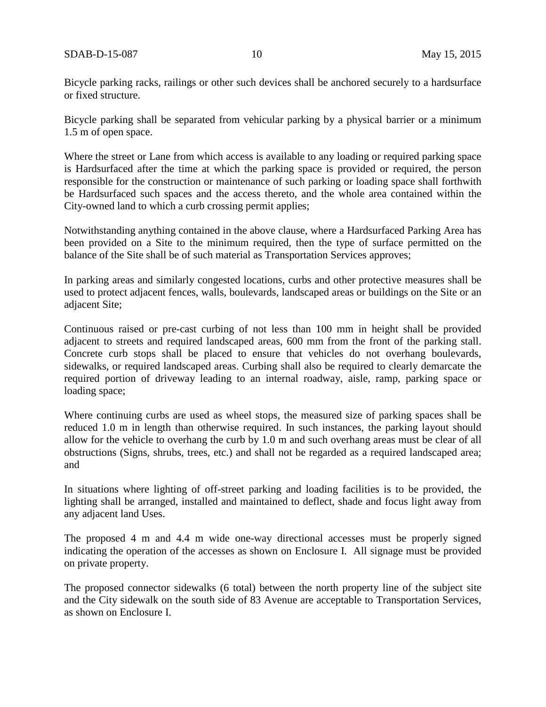Bicycle parking racks, railings or other such devices shall be anchored securely to a hardsurface or fixed structure.

Bicycle parking shall be separated from vehicular parking by a physical barrier or a minimum 1.5 m of open space.

Where the street or Lane from which access is available to any loading or required parking space is Hardsurfaced after the time at which the parking space is provided or required, the person responsible for the construction or maintenance of such parking or loading space shall forthwith be Hardsurfaced such spaces and the access thereto, and the whole area contained within the City-owned land to which a curb crossing permit applies;

Notwithstanding anything contained in the above clause, where a Hardsurfaced Parking Area has been provided on a Site to the minimum required, then the type of surface permitted on the balance of the Site shall be of such material as Transportation Services approves;

In parking areas and similarly congested locations, curbs and other protective measures shall be used to protect adjacent fences, walls, boulevards, landscaped areas or buildings on the Site or an adjacent Site;

Continuous raised or pre-cast curbing of not less than 100 mm in height shall be provided adjacent to streets and required landscaped areas, 600 mm from the front of the parking stall. Concrete curb stops shall be placed to ensure that vehicles do not overhang boulevards, sidewalks, or required landscaped areas. Curbing shall also be required to clearly demarcate the required portion of driveway leading to an internal roadway, aisle, ramp, parking space or loading space;

Where continuing curbs are used as wheel stops, the measured size of parking spaces shall be reduced 1.0 m in length than otherwise required. In such instances, the parking layout should allow for the vehicle to overhang the curb by 1.0 m and such overhang areas must be clear of all obstructions (Signs, shrubs, trees, etc.) and shall not be regarded as a required landscaped area; and

In situations where lighting of off-street parking and loading facilities is to be provided, the lighting shall be arranged, installed and maintained to deflect, shade and focus light away from any adjacent land Uses.

The proposed 4 m and 4.4 m wide one-way directional accesses must be properly signed indicating the operation of the accesses as shown on Enclosure I. All signage must be provided on private property.

The proposed connector sidewalks (6 total) between the north property line of the subject site and the City sidewalk on the south side of 83 Avenue are acceptable to Transportation Services, as shown on Enclosure I.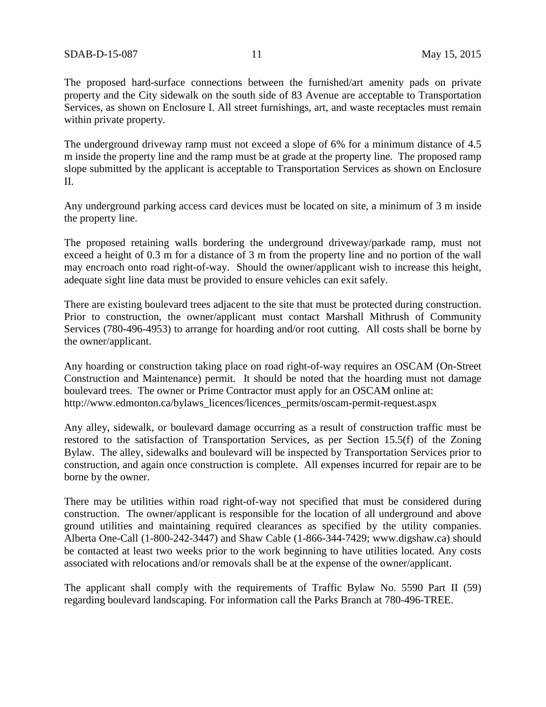The proposed hard-surface connections between the furnished/art amenity pads on private property and the City sidewalk on the south side of 83 Avenue are acceptable to Transportation Services, as shown on Enclosure I. All street furnishings, art, and waste receptacles must remain within private property.

The underground driveway ramp must not exceed a slope of 6% for a minimum distance of 4.5 m inside the property line and the ramp must be at grade at the property line. The proposed ramp slope submitted by the applicant is acceptable to Transportation Services as shown on Enclosure II.

Any underground parking access card devices must be located on site, a minimum of 3 m inside the property line.

The proposed retaining walls bordering the underground driveway/parkade ramp, must not exceed a height of 0.3 m for a distance of 3 m from the property line and no portion of the wall may encroach onto road right-of-way. Should the owner/applicant wish to increase this height, adequate sight line data must be provided to ensure vehicles can exit safely.

There are existing boulevard trees adjacent to the site that must be protected during construction. Prior to construction, the owner/applicant must contact Marshall Mithrush of Community Services (780-496-4953) to arrange for hoarding and/or root cutting. All costs shall be borne by the owner/applicant.

Any hoarding or construction taking place on road right-of-way requires an OSCAM (On-Street Construction and Maintenance) permit. It should be noted that the hoarding must not damage boulevard trees. The owner or Prime Contractor must apply for an OSCAM online at: http://www.edmonton.ca/bylaws\_licences/licences\_permits/oscam-permit-request.aspx

Any alley, sidewalk, or boulevard damage occurring as a result of construction traffic must be restored to the satisfaction of Transportation Services, as per Section 15.5(f) of the Zoning Bylaw. The alley, sidewalks and boulevard will be inspected by Transportation Services prior to construction, and again once construction is complete. All expenses incurred for repair are to be borne by the owner.

There may be utilities within road right-of-way not specified that must be considered during construction. The owner/applicant is responsible for the location of all underground and above ground utilities and maintaining required clearances as specified by the utility companies. Alberta One-Call (1-800-242-3447) and Shaw Cable (1-866-344-7429; www.digshaw.ca) should be contacted at least two weeks prior to the work beginning to have utilities located. Any costs associated with relocations and/or removals shall be at the expense of the owner/applicant.

The applicant shall comply with the requirements of Traffic Bylaw No. 5590 Part II (59) regarding boulevard landscaping. For information call the Parks Branch at 780-496-TREE.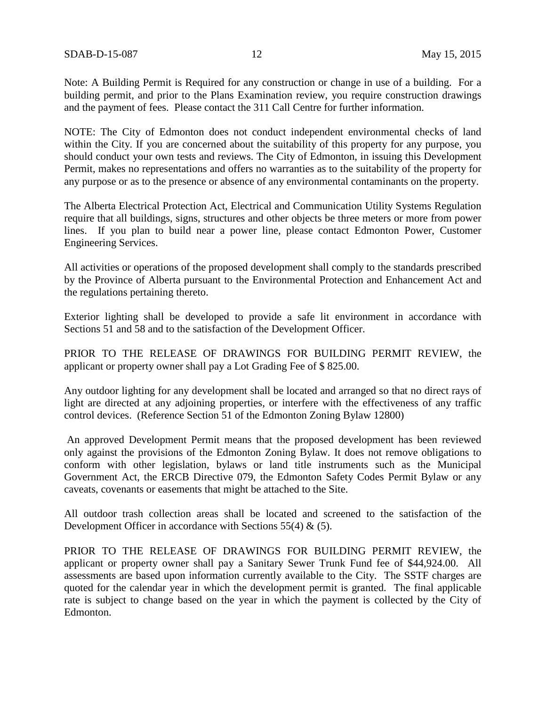Note: A Building Permit is Required for any construction or change in use of a building. For a building permit, and prior to the Plans Examination review, you require construction drawings and the payment of fees. Please contact the 311 Call Centre for further information.

NOTE: The City of Edmonton does not conduct independent environmental checks of land within the City. If you are concerned about the suitability of this property for any purpose, you should conduct your own tests and reviews. The City of Edmonton, in issuing this Development Permit, makes no representations and offers no warranties as to the suitability of the property for any purpose or as to the presence or absence of any environmental contaminants on the property.

The Alberta Electrical Protection Act, Electrical and Communication Utility Systems Regulation require that all buildings, signs, structures and other objects be three meters or more from power lines. If you plan to build near a power line, please contact Edmonton Power, Customer Engineering Services.

All activities or operations of the proposed development shall comply to the standards prescribed by the Province of Alberta pursuant to the Environmental Protection and Enhancement Act and the regulations pertaining thereto.

Exterior lighting shall be developed to provide a safe lit environment in accordance with Sections 51 and 58 and to the satisfaction of the Development Officer.

PRIOR TO THE RELEASE OF DRAWINGS FOR BUILDING PERMIT REVIEW, the applicant or property owner shall pay a Lot Grading Fee of \$ 825.00.

Any outdoor lighting for any development shall be located and arranged so that no direct rays of light are directed at any adjoining properties, or interfere with the effectiveness of any traffic control devices. (Reference Section 51 of the Edmonton Zoning Bylaw 12800)

An approved Development Permit means that the proposed development has been reviewed only against the provisions of the Edmonton Zoning Bylaw. It does not remove obligations to conform with other legislation, bylaws or land title instruments such as the Municipal Government Act, the ERCB Directive 079, the Edmonton Safety Codes Permit Bylaw or any caveats, covenants or easements that might be attached to the Site.

All outdoor trash collection areas shall be located and screened to the satisfaction of the Development Officer in accordance with Sections 55(4) & (5).

PRIOR TO THE RELEASE OF DRAWINGS FOR BUILDING PERMIT REVIEW, the applicant or property owner shall pay a Sanitary Sewer Trunk Fund fee of \$44,924.00. All assessments are based upon information currently available to the City. The SSTF charges are quoted for the calendar year in which the development permit is granted. The final applicable rate is subject to change based on the year in which the payment is collected by the City of Edmonton.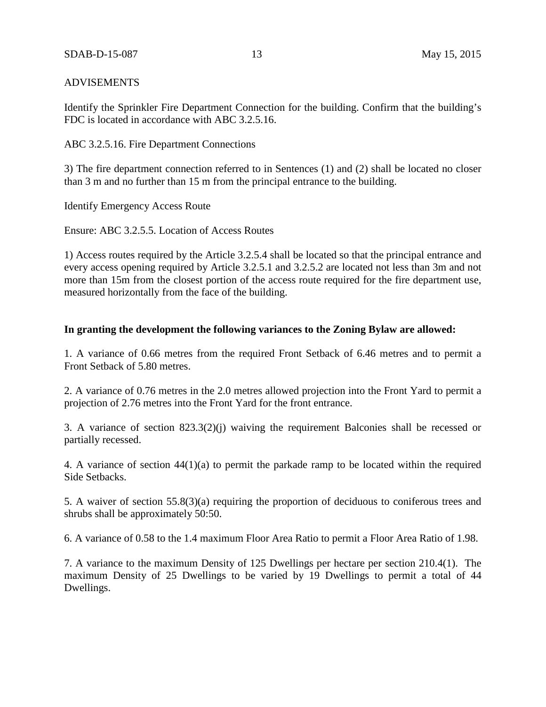### ADVISEMENTS

Identify the Sprinkler Fire Department Connection for the building. Confirm that the building's FDC is located in accordance with ABC 3.2.5.16.

ABC 3.2.5.16. Fire Department Connections

3) The fire department connection referred to in Sentences (1) and (2) shall be located no closer than 3 m and no further than 15 m from the principal entrance to the building.

Identify Emergency Access Route

Ensure: ABC 3.2.5.5. Location of Access Routes

1) Access routes required by the Article 3.2.5.4 shall be located so that the principal entrance and every access opening required by Article 3.2.5.1 and 3.2.5.2 are located not less than 3m and not more than 15m from the closest portion of the access route required for the fire department use, measured horizontally from the face of the building.

### **In granting the development the following variances to the Zoning Bylaw are allowed:**

1. A variance of 0.66 metres from the required Front Setback of 6.46 metres and to permit a Front Setback of 5.80 metres.

2. A variance of 0.76 metres in the 2.0 metres allowed projection into the Front Yard to permit a projection of 2.76 metres into the Front Yard for the front entrance.

3. A variance of section 823.3(2)(j) waiving the requirement Balconies shall be recessed or partially recessed.

4. A variance of section 44(1)(a) to permit the parkade ramp to be located within the required Side Setbacks.

5. A waiver of section 55.8(3)(a) requiring the proportion of deciduous to coniferous trees and shrubs shall be approximately 50:50.

6. A variance of 0.58 to the 1.4 maximum Floor Area Ratio to permit a Floor Area Ratio of 1.98.

7. A variance to the maximum Density of 125 Dwellings per hectare per section 210.4(1). The maximum Density of 25 Dwellings to be varied by 19 Dwellings to permit a total of 44 Dwellings.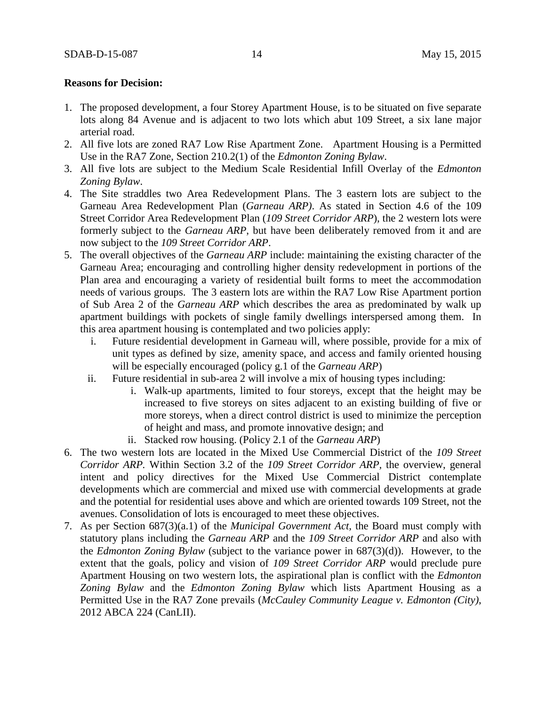## **Reasons for Decision:**

- 1. The proposed development, a four Storey Apartment House, is to be situated on five separate lots along 84 Avenue and is adjacent to two lots which abut 109 Street, a six lane major arterial road.
- 2. All five lots are zoned RA7 Low Rise Apartment Zone. Apartment Housing is a Permitted Use in the RA7 Zone, Section 210.2(1) of the *Edmonton Zoning Bylaw*.
- 3. All five lots are subject to the Medium Scale Residential Infill Overlay of the *Edmonton Zoning Bylaw*.
- 4. The Site straddles two Area Redevelopment Plans. The 3 eastern lots are subject to the Garneau Area Redevelopment Plan (*Garneau ARP)*. As stated in Section 4.6 of the 109 Street Corridor Area Redevelopment Plan (*109 Street Corridor ARP*), the 2 western lots were formerly subject to the *Garneau ARP*, but have been deliberately removed from it and are now subject to the *109 Street Corridor ARP*.
- 5. The overall objectives of the *Garneau ARP* include: maintaining the existing character of the Garneau Area; encouraging and controlling higher density redevelopment in portions of the Plan area and encouraging a variety of residential built forms to meet the accommodation needs of various groups. The 3 eastern lots are within the RA7 Low Rise Apartment portion of Sub Area 2 of the *Garneau ARP* which describes the area as predominated by walk up apartment buildings with pockets of single family dwellings interspersed among them. In this area apartment housing is contemplated and two policies apply:
	- i. Future residential development in Garneau will, where possible, provide for a mix of unit types as defined by size, amenity space, and access and family oriented housing will be especially encouraged (policy g.1 of the *Garneau ARP*)
	- ii. Future residential in sub-area 2 will involve a mix of housing types including:
		- i. Walk-up apartments, limited to four storeys, except that the height may be increased to five storeys on sites adjacent to an existing building of five or more storeys, when a direct control district is used to minimize the perception of height and mass, and promote innovative design; and
		- ii. Stacked row housing. (Policy 2.1 of the *Garneau ARP*)
- 6. The two western lots are located in the Mixed Use Commercial District of the *109 Street Corridor ARP.* Within Section 3.2 of the *109 Street Corridor ARP,* the overview, general intent and policy directives for the Mixed Use Commercial District contemplate developments which are commercial and mixed use with commercial developments at grade and the potential for residential uses above and which are oriented towards 109 Street, not the avenues. Consolidation of lots is encouraged to meet these objectives.
- 7. As per Section 687(3)(a.1) of the *Municipal Government Act,* the Board must comply with statutory plans including the *Garneau ARP* and the *109 Street Corridor ARP* and also with the *Edmonton Zoning Bylaw* (subject to the variance power in 687(3)(d)). However, to the extent that the goals, policy and vision of *109 Street Corridor ARP* would preclude pure Apartment Housing on two western lots, the aspirational plan is conflict with the *Edmonton Zoning Bylaw* and the *Edmonton Zoning Bylaw* which lists Apartment Housing as a Permitted Use in the RA7 Zone prevails (*McCauley Community League v. Edmonton (City)*, 2012 ABCA 224 (CanLII).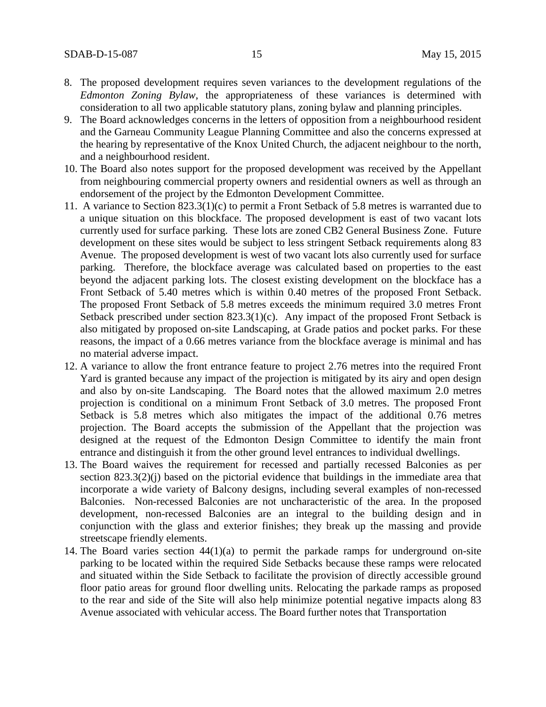- 8. The proposed development requires seven variances to the development regulations of the *Edmonton Zoning Bylaw*, the appropriateness of these variances is determined with consideration to all two applicable statutory plans, zoning bylaw and planning principles.
- 9. The Board acknowledges concerns in the letters of opposition from a neighbourhood resident and the Garneau Community League Planning Committee and also the concerns expressed at the hearing by representative of the Knox United Church, the adjacent neighbour to the north, and a neighbourhood resident.
- 10. The Board also notes support for the proposed development was received by the Appellant from neighbouring commercial property owners and residential owners as well as through an endorsement of the project by the Edmonton Development Committee.
- 11. A variance to Section 823.3(1)(c) to permit a Front Setback of 5.8 metres is warranted due to a unique situation on this blockface. The proposed development is east of two vacant lots currently used for surface parking. These lots are zoned CB2 General Business Zone. Future development on these sites would be subject to less stringent Setback requirements along 83 Avenue. The proposed development is west of two vacant lots also currently used for surface parking. Therefore, the blockface average was calculated based on properties to the east beyond the adjacent parking lots. The closest existing development on the blockface has a Front Setback of 5.40 metres which is within 0.40 metres of the proposed Front Setback. The proposed Front Setback of 5.8 metres exceeds the minimum required 3.0 metres Front Setback prescribed under section 823.3(1)(c). Any impact of the proposed Front Setback is also mitigated by proposed on-site Landscaping, at Grade patios and pocket parks. For these reasons, the impact of a 0.66 metres variance from the blockface average is minimal and has no material adverse impact.
- 12. A variance to allow the front entrance feature to project 2.76 metres into the required Front Yard is granted because any impact of the projection is mitigated by its airy and open design and also by on-site Landscaping. The Board notes that the allowed maximum 2.0 metres projection is conditional on a minimum Front Setback of 3.0 metres. The proposed Front Setback is 5.8 metres which also mitigates the impact of the additional 0.76 metres projection. The Board accepts the submission of the Appellant that the projection was designed at the request of the Edmonton Design Committee to identify the main front entrance and distinguish it from the other ground level entrances to individual dwellings.
- 13. The Board waives the requirement for recessed and partially recessed Balconies as per section 823.3(2)(j) based on the pictorial evidence that buildings in the immediate area that incorporate a wide variety of Balcony designs, including several examples of non-recessed Balconies. Non-recessed Balconies are not uncharacteristic of the area. In the proposed development, non-recessed Balconies are an integral to the building design and in conjunction with the glass and exterior finishes; they break up the massing and provide streetscape friendly elements.
- 14. The Board varies section 44(1)(a) to permit the parkade ramps for underground on-site parking to be located within the required Side Setbacks because these ramps were relocated and situated within the Side Setback to facilitate the provision of directly accessible ground floor patio areas for ground floor dwelling units. Relocating the parkade ramps as proposed to the rear and side of the Site will also help minimize potential negative impacts along 83 Avenue associated with vehicular access. The Board further notes that Transportation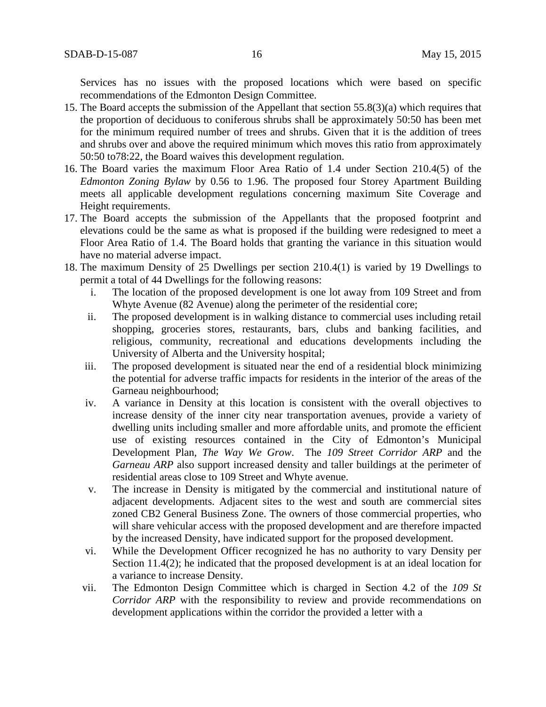Services has no issues with the proposed locations which were based on specific recommendations of the Edmonton Design Committee.

- 15. The Board accepts the submission of the Appellant that section 55.8(3)(a) which requires that the proportion of deciduous to coniferous shrubs shall be approximately 50:50 has been met for the minimum required number of trees and shrubs. Given that it is the addition of trees and shrubs over and above the required minimum which moves this ratio from approximately 50:50 to78:22, the Board waives this development regulation.
- 16. The Board varies the maximum Floor Area Ratio of 1.4 under Section 210.4(5) of the *Edmonton Zoning Bylaw* by 0.56 to 1.96. The proposed four Storey Apartment Building meets all applicable development regulations concerning maximum Site Coverage and Height requirements.
- 17. The Board accepts the submission of the Appellants that the proposed footprint and elevations could be the same as what is proposed if the building were redesigned to meet a Floor Area Ratio of 1.4. The Board holds that granting the variance in this situation would have no material adverse impact.
- 18. The maximum Density of 25 Dwellings per section 210.4(1) is varied by 19 Dwellings to permit a total of 44 Dwellings for the following reasons:
	- i. The location of the proposed development is one lot away from 109 Street and from Whyte Avenue (82 Avenue) along the perimeter of the residential core;
	- ii. The proposed development is in walking distance to commercial uses including retail shopping, groceries stores, restaurants, bars, clubs and banking facilities, and religious, community, recreational and educations developments including the University of Alberta and the University hospital;
	- iii. The proposed development is situated near the end of a residential block minimizing the potential for adverse traffic impacts for residents in the interior of the areas of the Garneau neighbourhood;
	- iv. A variance in Density at this location is consistent with the overall objectives to increase density of the inner city near transportation avenues, provide a variety of dwelling units including smaller and more affordable units, and promote the efficient use of existing resources contained in the City of Edmonton's Municipal Development Plan, *The Way We Grow*. The *109 Street Corridor ARP* and the *Garneau ARP* also support increased density and taller buildings at the perimeter of residential areas close to 109 Street and Whyte avenue.
	- v. The increase in Density is mitigated by the commercial and institutional nature of adjacent developments. Adjacent sites to the west and south are commercial sites zoned CB2 General Business Zone. The owners of those commercial properties, who will share vehicular access with the proposed development and are therefore impacted by the increased Density, have indicated support for the proposed development.
	- vi. While the Development Officer recognized he has no authority to vary Density per Section 11.4(2); he indicated that the proposed development is at an ideal location for a variance to increase Density.
	- vii. The Edmonton Design Committee which is charged in Section 4.2 of the *109 St Corridor ARP* with the responsibility to review and provide recommendations on development applications within the corridor the provided a letter with a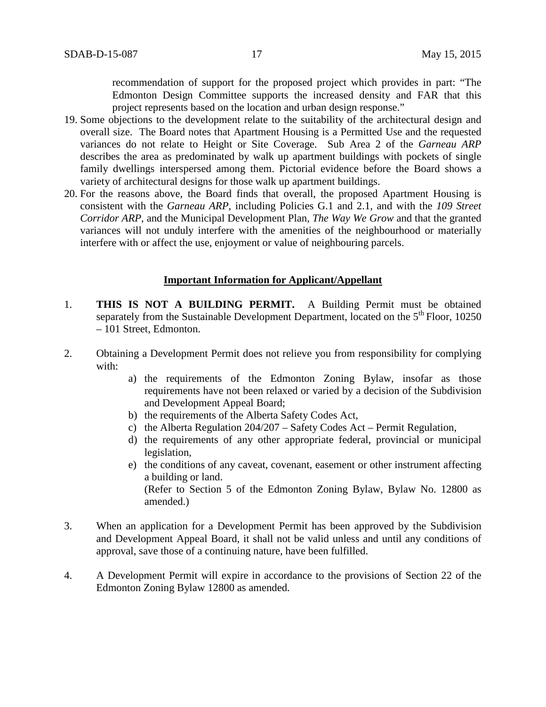recommendation of support for the proposed project which provides in part: "The Edmonton Design Committee supports the increased density and FAR that this project represents based on the location and urban design response."

- 19. Some objections to the development relate to the suitability of the architectural design and overall size. The Board notes that Apartment Housing is a Permitted Use and the requested variances do not relate to Height or Site Coverage. Sub Area 2 of the *Garneau ARP*  describes the area as predominated by walk up apartment buildings with pockets of single family dwellings interspersed among them. Pictorial evidence before the Board shows a variety of architectural designs for those walk up apartment buildings.
- 20. For the reasons above, the Board finds that overall, the proposed Apartment Housing is consistent with the *Garneau ARP*, including Policies G.1 and 2.1, and with the *109 Street Corridor ARP*, and the Municipal Development Plan, *The Way We Grow* and that the granted variances will not unduly interfere with the amenities of the neighbourhood or materially interfere with or affect the use, enjoyment or value of neighbouring parcels.

### **Important Information for Applicant/Appellant**

- 1. **THIS IS NOT A BUILDING PERMIT.** A Building Permit must be obtained separately from the Sustainable Development Department, located on the  $5<sup>th</sup>$  Floor, 10250 – 101 Street, Edmonton.
- 2. Obtaining a Development Permit does not relieve you from responsibility for complying with:
	- a) the requirements of the Edmonton Zoning Bylaw, insofar as those requirements have not been relaxed or varied by a decision of the Subdivision and Development Appeal Board;
	- b) the requirements of the Alberta Safety Codes Act,
	- c) the Alberta Regulation 204/207 Safety Codes Act Permit Regulation,
	- d) the requirements of any other appropriate federal, provincial or municipal legislation,
	- e) the conditions of any caveat, covenant, easement or other instrument affecting a building or land. (Refer to Section 5 of the Edmonton Zoning Bylaw, Bylaw No. 12800 as amended.)
- 3. When an application for a Development Permit has been approved by the Subdivision and Development Appeal Board, it shall not be valid unless and until any conditions of approval, save those of a continuing nature, have been fulfilled.
- 4. A Development Permit will expire in accordance to the provisions of Section 22 of the Edmonton Zoning Bylaw 12800 as amended.